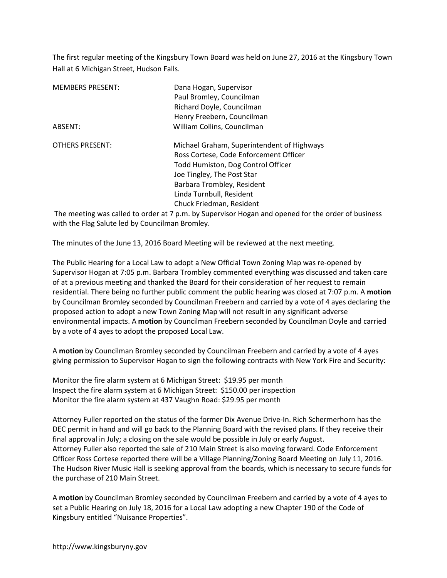The first regular meeting of the Kingsbury Town Board was held on June 27, 2016 at the Kingsbury Town Hall at 6 Michigan Street, Hudson Falls.

| <b>MEMBERS PRESENT:</b> | Dana Hogan, Supervisor                                                                       |
|-------------------------|----------------------------------------------------------------------------------------------|
|                         | Paul Bromley, Councilman                                                                     |
|                         | Richard Doyle, Councilman                                                                    |
|                         | Henry Freebern, Councilman                                                                   |
| ABSENT:                 | William Collins, Councilman                                                                  |
| <b>OTHERS PRESENT:</b>  | Michael Graham, Superintendent of Highways                                                   |
|                         | Ross Cortese, Code Enforcement Officer                                                       |
|                         | Todd Humiston, Dog Control Officer                                                           |
|                         | Joe Tingley, The Post Star                                                                   |
|                         | Barbara Trombley, Resident                                                                   |
|                         | Linda Turnbull, Resident                                                                     |
|                         | Chuck Friedman, Resident                                                                     |
|                         | The meeting was called to order at 7 n m by Supervisor Hogan and opened for the order of but |

 The meeting was called to order at 7 p.m. by Supervisor Hogan and opened for the order of business with the Flag Salute led by Councilman Bromley.

The minutes of the June 13, 2016 Board Meeting will be reviewed at the next meeting.

The Public Hearing for a Local Law to adopt a New Official Town Zoning Map was re-opened by Supervisor Hogan at 7:05 p.m. Barbara Trombley commented everything was discussed and taken care of at a previous meeting and thanked the Board for their consideration of her request to remain residential. There being no further public comment the public hearing was closed at 7:07 p.m. A **motion** by Councilman Bromley seconded by Councilman Freebern and carried by a vote of 4 ayes declaring the proposed action to adopt a new Town Zoning Map will not result in any significant adverse environmental impacts. A **motion** by Councilman Freebern seconded by Councilman Doyle and carried by a vote of 4 ayes to adopt the proposed Local Law.

A **motion** by Councilman Bromley seconded by Councilman Freebern and carried by a vote of 4 ayes giving permission to Supervisor Hogan to sign the following contracts with New York Fire and Security:

Monitor the fire alarm system at 6 Michigan Street: \$19.95 per month Inspect the fire alarm system at 6 Michigan Street: \$150.00 per inspection Monitor the fire alarm system at 437 Vaughn Road: \$29.95 per month

Attorney Fuller reported on the status of the former Dix Avenue Drive-In. Rich Schermerhorn has the DEC permit in hand and will go back to the Planning Board with the revised plans. If they receive their final approval in July; a closing on the sale would be possible in July or early August. Attorney Fuller also reported the sale of 210 Main Street is also moving forward. Code Enforcement Officer Ross Cortese reported there will be a Village Planning/Zoning Board Meeting on July 11, 2016. The Hudson River Music Hall is seeking approval from the boards, which is necessary to secure funds for the purchase of 210 Main Street.

A **motion** by Councilman Bromley seconded by Councilman Freebern and carried by a vote of 4 ayes to set a Public Hearing on July 18, 2016 for a Local Law adopting a new Chapter 190 of the Code of Kingsbury entitled "Nuisance Properties".